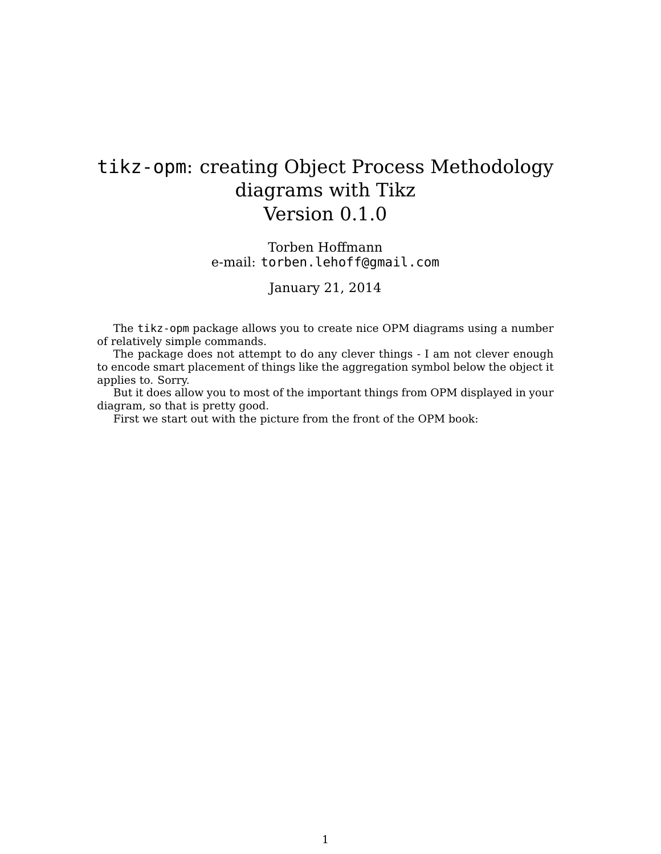## tikz-opm: creating Object Process Methodology diagrams with Tikz Version 0.1.0

## Torben Hoffmann e-mail: torben.lehoff@gmail.com

## January 21, 2014

The tikz-opm package allows you to create nice OPM diagrams using a number of relatively simple commands.

The package does not attempt to do any clever things - I am not clever enough to encode smart placement of things like the aggregation symbol below the object it applies to. Sorry.

But it does allow you to most of the important things from OPM displayed in your diagram, so that is pretty good.

First we start out with the picture from the front of the OPM book: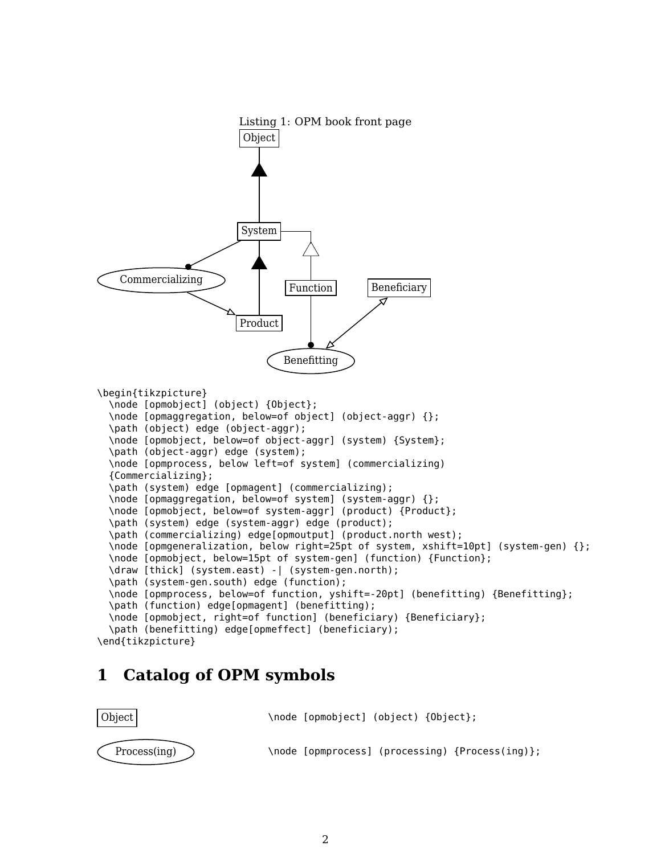

## **1 Catalog of OPM symbols**

| Object             | \node [opmobject] (object) {Object};            |
|--------------------|-------------------------------------------------|
| $Process($ ing $)$ | \node [opmprocess] (processing) {Process(ing)}; |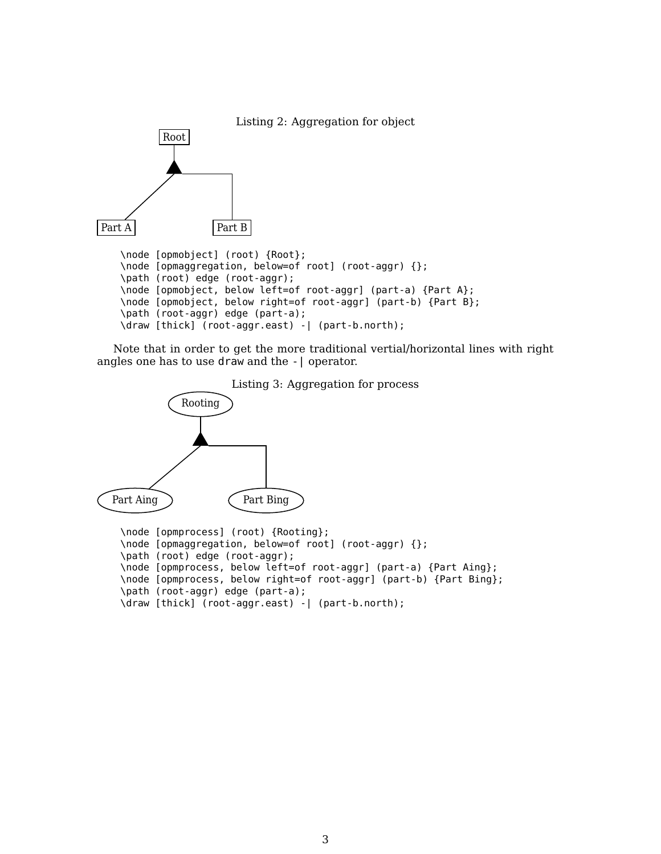

Note that in order to get the more traditional vertial/horizontal lines with right angles one has to use draw and the -| operator.





```
\node [opmprocess] (root) {Rooting};
\node [opmaggregation, below=of root] (root-aggr) {};
\path (root) edge (root-aggr);
\node [opmprocess, below left=of root-aggr] (part-a) {Part Aing};
\node [opmprocess, below right=of root-aggr] (part-b) {Part Bing};
\path (root-aggr) edge (part-a);
\draw [thick] (root-aggr.east) -| (part-b.north);
```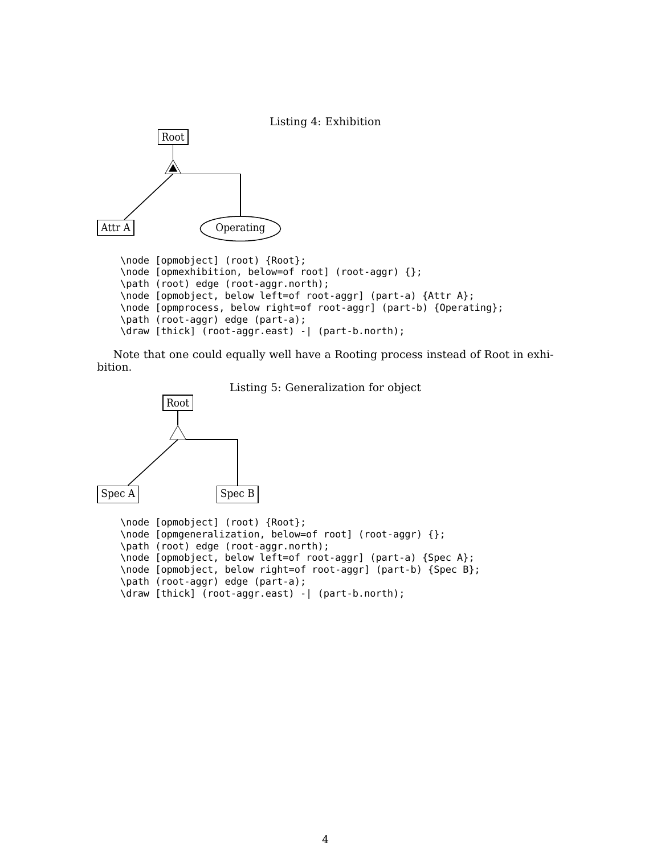

Note that one could equally well have a Rooting process instead of Root in exhibition.



```
\path (root) edge (root-aggr.north);
\node [opmobject, below left=of root-aggr] (part-a) {Spec A};
\node [opmobject, below right=of root-aggr] (part-b) {Spec B};
\path (root-aggr) edge (part-a);
\draw [thick] (root-aggr.east) -| (part-b.north);
```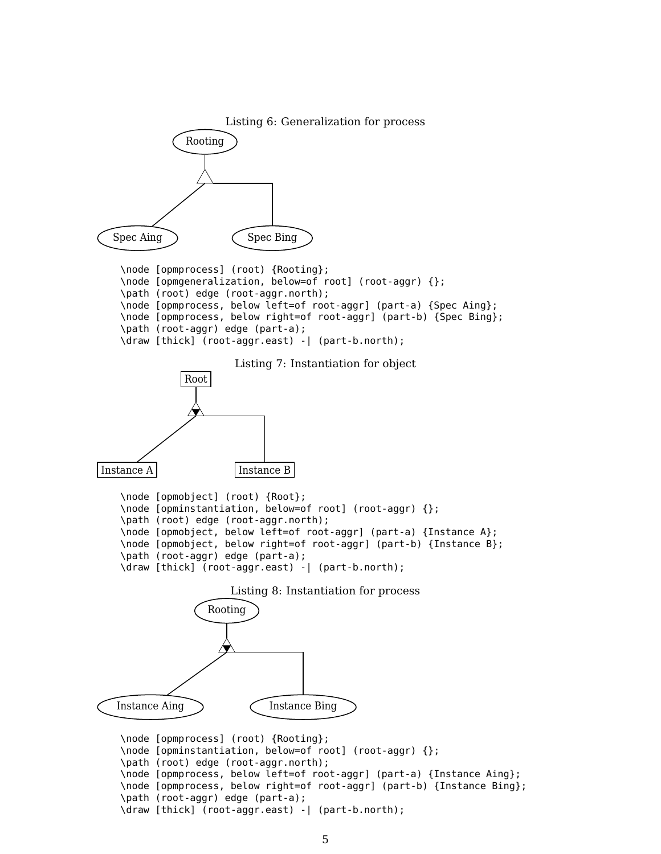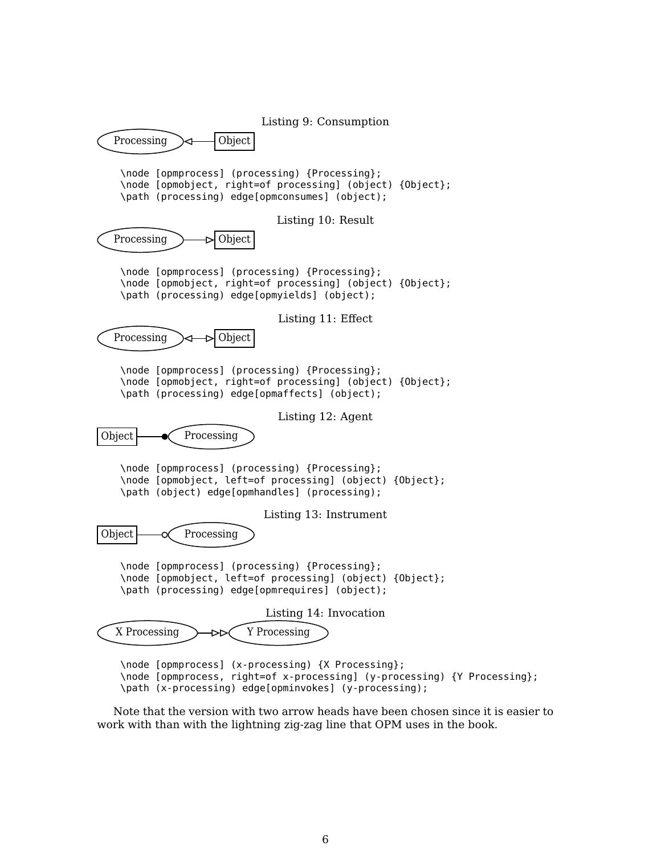Listing 9: Consumption Processing  $\rightarrow$  - Object \node [opmprocess] (processing) {Processing}; \node [opmobject, right=of processing] (object) {Object}; \path (processing) edge[opmconsumes] (object); Listing 10: Result Processing  $\rightarrow$  Object \node [opmprocess] (processing) {Processing}; \node [opmobject, right=of processing] (object) {Object}; \path (processing) edge[opmyields] (object); Listing 11: Effect Processing  $\rightarrow \rightarrow$  Object \node [opmprocess] (processing) {Processing}; \node [opmobject, right=of processing] (object) {Object}; \path (processing) edge[opmaffects] (object); Listing 12: Agent Object  $\leftarrow$  Processing \node [opmprocess] (processing) {Processing}; \node [opmobject, left=of processing] (object) {Object}; \path (object) edge[opmhandles] (processing); Listing 13: Instrument Object  $\leftarrow \propto$  Processing \node [opmprocess] (processing) {Processing}; \node [opmobject, left=of processing] (object) {Object}; \path (processing) edge[opmrequires] (object); Listing 14: Invocation X Processing  $\rightarrow$   $\rightarrow$   $\rightarrow$  Y Processing \node [opmprocess] (x-processing) {X Processing}; \node [opmprocess, right=of x-processing] (y-processing) {Y Processing}; \path (x-processing) edge[opminvokes] (y-processing);

Note that the version with two arrow heads have been chosen since it is easier to work with than with the lightning zig-zag line that OPM uses in the book.